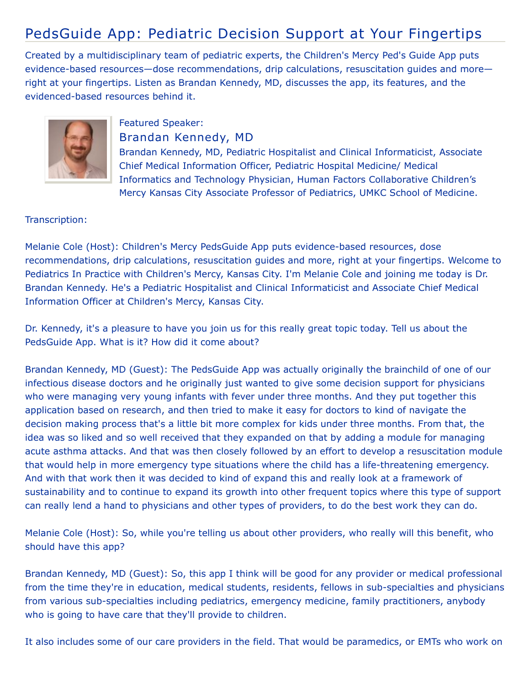## PedsGuide App: Pediatric Decision Support at Your Fingertips

Created by a multidisciplinary team of pediatric experts, the Children's Mercy Ped's Guide App puts evidence-based resources—dose recommendations, drip calculations, resuscitation guides and more right at your fingertips. Listen as Brandan Kennedy, MD, discusses the app, its features, and the evidenced-based resources behind it.



## Featured Speaker:

Brandan Kennedy, MD

Brandan Kennedy, MD, Pediatric Hospitalist and Clinical Informaticist, Associate Chief Medical Information Officer, Pediatric Hospital Medicine/ Medical Informatics and Technology Physician, Human Factors Collaborative Children's Mercy Kansas City Associate Professor of Pediatrics, UMKC School of Medicine.

## Transcription:

Melanie Cole (Host): Children's Mercy PedsGuide App puts evidence-based resources, dose recommendations, drip calculations, resuscitation guides and more, right at your fingertips. Welcome to Pediatrics In Practice with Children's Mercy, Kansas City. I'm Melanie Cole and joining me today is Dr. Brandan Kennedy. He's a Pediatric Hospitalist and Clinical Informaticist and Associate Chief Medical Information Officer at Children's Mercy, Kansas City.

Dr. Kennedy, it's a pleasure to have you join us for this really great topic today. Tell us about the PedsGuide App. What is it? How did it come about?

Brandan Kennedy, MD (Guest): The PedsGuide App was actually originally the brainchild of one of our infectious disease doctors and he originally just wanted to give some decision support for physicians who were managing very young infants with fever under three months. And they put together this application based on research, and then tried to make it easy for doctors to kind of navigate the decision making process that's a little bit more complex for kids under three months. From that, the idea was so liked and so well received that they expanded on that by adding a module for managing acute asthma attacks. And that was then closely followed by an effort to develop a resuscitation module that would help in more emergency type situations where the child has a life-threatening emergency. And with that work then it was decided to kind of expand this and really look at a framework of sustainability and to continue to expand its growth into other frequent topics where this type of support can really lend a hand to physicians and other types of providers, to do the best work they can do.

Melanie Cole (Host): So, while you're telling us about other providers, who really will this benefit, who should have this app?

Brandan Kennedy, MD (Guest): So, this app I think will be good for any provider or medical professional from the time they're in education, medical students, residents, fellows in sub-specialties and physicians from various sub-specialties including pediatrics, emergency medicine, family practitioners, anybody who is going to have care that they'll provide to children.

It also includes some of our care providers in the field. That would be paramedics, or EMTs who work on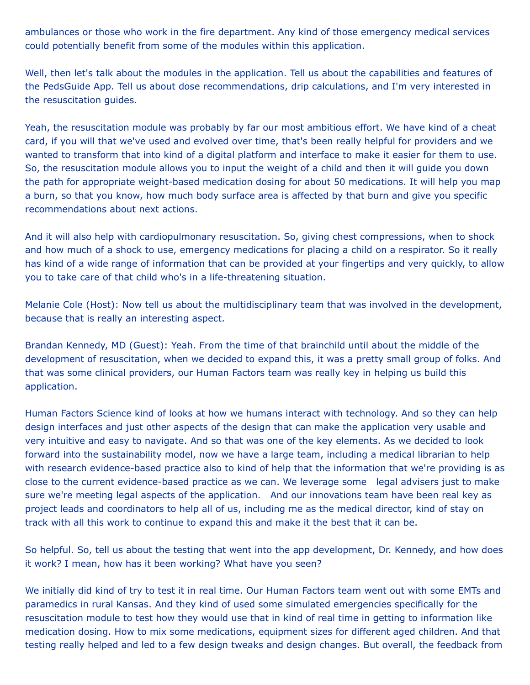ambulances or those who work in the fire department. Any kind of those emergency medical services could potentially benefit from some of the modules within this application.

Well, then let's talk about the modules in the application. Tell us about the capabilities and features of the PedsGuide App. Tell us about dose recommendations, drip calculations, and I'm very interested in the resuscitation guides.

Yeah, the resuscitation module was probably by far our most ambitious effort. We have kind of a cheat card, if you will that we've used and evolved over time, that's been really helpful for providers and we wanted to transform that into kind of a digital platform and interface to make it easier for them to use. So, the resuscitation module allows you to input the weight of a child and then it will guide you down the path for appropriate weight-based medication dosing for about 50 medications. It will help you map a burn, so that you know, how much body surface area is affected by that burn and give you specific recommendations about next actions.

And it will also help with cardiopulmonary resuscitation. So, giving chest compressions, when to shock and how much of a shock to use, emergency medications for placing a child on a respirator. So it really has kind of a wide range of information that can be provided at your fingertips and very quickly, to allow you to take care of that child who's in a life-threatening situation.

Melanie Cole (Host): Now tell us about the multidisciplinary team that was involved in the development, because that is really an interesting aspect.

Brandan Kennedy, MD (Guest): Yeah. From the time of that brainchild until about the middle of the development of resuscitation, when we decided to expand this, it was a pretty small group of folks. And that was some clinical providers, our Human Factors team was really key in helping us build this application.

Human Factors Science kind of looks at how we humans interact with technology. And so they can help design interfaces and just other aspects of the design that can make the application very usable and very intuitive and easy to navigate. And so that was one of the key elements. As we decided to look forward into the sustainability model, now we have a large team, including a medical librarian to help with research evidence-based practice also to kind of help that the information that we're providing is as close to the current evidence-based practice as we can. We leverage some legal advisers just to make sure we're meeting legal aspects of the application. And our innovations team have been real key as project leads and coordinators to help all of us, including me as the medical director, kind of stay on track with all this work to continue to expand this and make it the best that it can be.

So helpful. So, tell us about the testing that went into the app development, Dr. Kennedy, and how does it work? I mean, how has it been working? What have you seen?

We initially did kind of try to test it in real time. Our Human Factors team went out with some EMTs and paramedics in rural Kansas. And they kind of used some simulated emergencies specifically for the resuscitation module to test how they would use that in kind of real time in getting to information like medication dosing. How to mix some medications, equipment sizes for different aged children. And that testing really helped and led to a few design tweaks and design changes. But overall, the feedback from